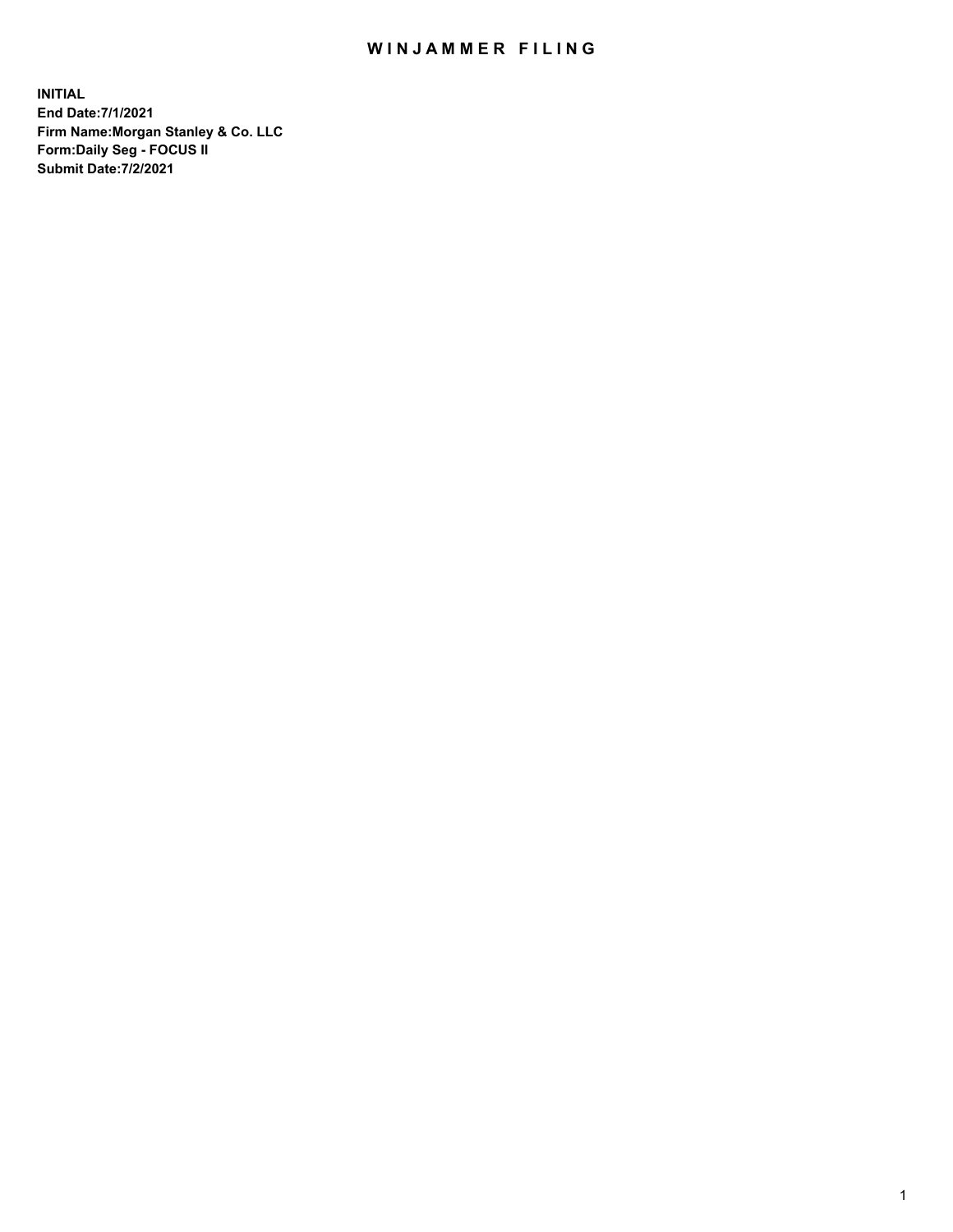## WIN JAMMER FILING

**INITIAL End Date:7/1/2021 Firm Name:Morgan Stanley & Co. LLC Form:Daily Seg - FOCUS II Submit Date:7/2/2021**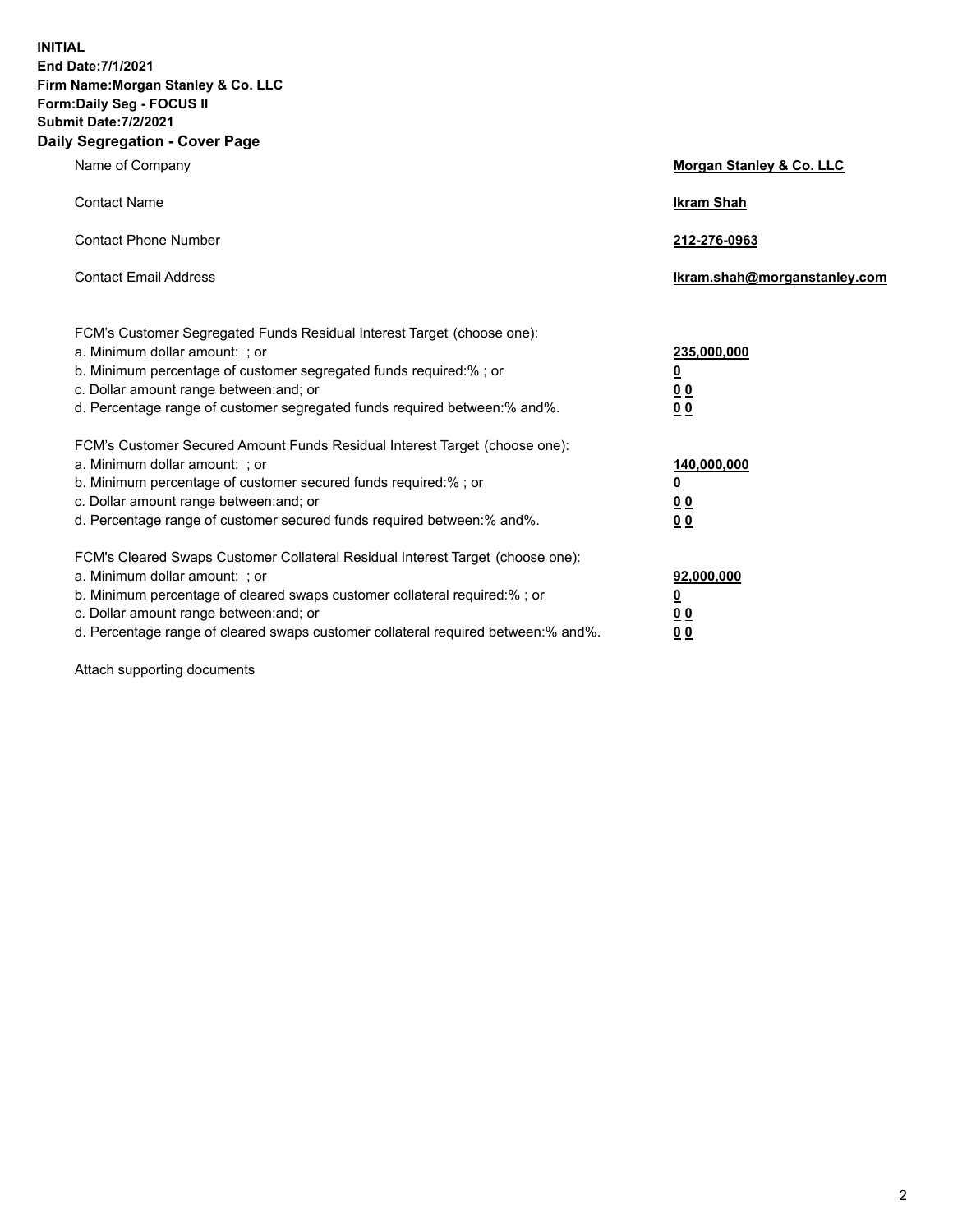**INITIAL End Date:7/1/2021 Firm Name:Morgan Stanley & Co. LLC Form:Daily Seg - FOCUS II Submit Date:7/2/2021 Daily Segregation - Cover Page**

| Name of Company                                                                                                                                                                                                                                                                                                                | Morgan Stanley & Co. LLC                                    |
|--------------------------------------------------------------------------------------------------------------------------------------------------------------------------------------------------------------------------------------------------------------------------------------------------------------------------------|-------------------------------------------------------------|
| <b>Contact Name</b>                                                                                                                                                                                                                                                                                                            | <b>Ikram Shah</b>                                           |
| <b>Contact Phone Number</b>                                                                                                                                                                                                                                                                                                    | 212-276-0963                                                |
| <b>Contact Email Address</b>                                                                                                                                                                                                                                                                                                   | Ikram.shah@morganstanley.com                                |
| FCM's Customer Segregated Funds Residual Interest Target (choose one):<br>a. Minimum dollar amount: ; or<br>b. Minimum percentage of customer segregated funds required:% ; or<br>c. Dollar amount range between: and; or<br>d. Percentage range of customer segregated funds required between:% and%.                         | 235,000,000<br><u>0</u><br>0 Q<br>0 <sub>0</sub>            |
| FCM's Customer Secured Amount Funds Residual Interest Target (choose one):<br>a. Minimum dollar amount: : or<br>b. Minimum percentage of customer secured funds required:%; or<br>c. Dollar amount range between: and; or<br>d. Percentage range of customer secured funds required between:% and%.                            | 140,000,000<br><u>0</u><br>0 <sub>0</sub><br>0 <sub>0</sub> |
| FCM's Cleared Swaps Customer Collateral Residual Interest Target (choose one):<br>a. Minimum dollar amount: ; or<br>b. Minimum percentage of cleared swaps customer collateral required:% ; or<br>c. Dollar amount range between: and; or<br>d. Percentage range of cleared swaps customer collateral required between:% and%. | 92,000,000<br><u>0</u><br>0 Q<br>0 <sub>0</sub>             |

Attach supporting documents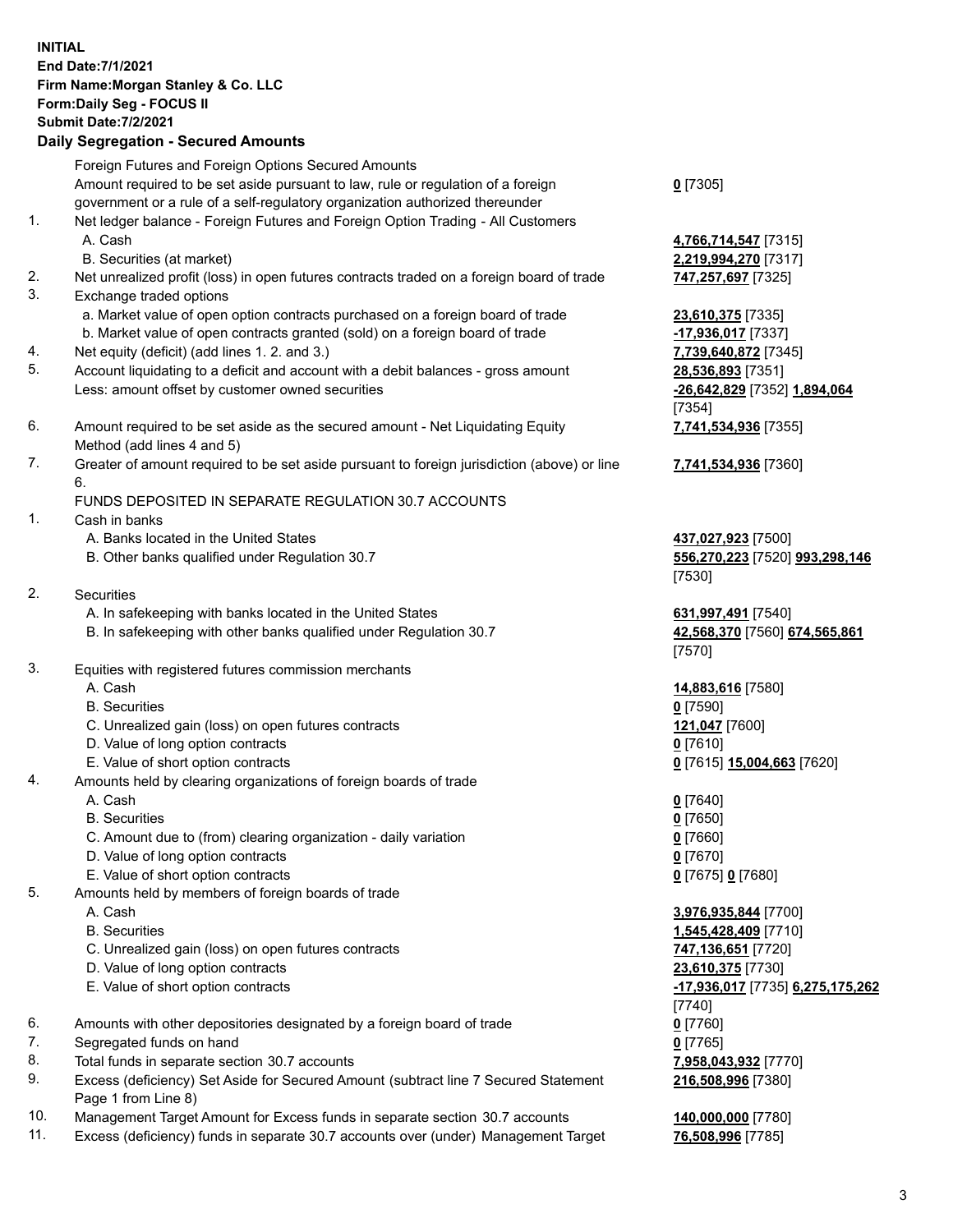|    | <b>INITIAL</b><br>End Date: 7/1/2021<br>Firm Name: Morgan Stanley & Co. LLC<br>Form: Daily Seg - FOCUS II<br><b>Submit Date: 7/2/2021</b><br><b>Daily Segregation - Secured Amounts</b> |                                                       |
|----|-----------------------------------------------------------------------------------------------------------------------------------------------------------------------------------------|-------------------------------------------------------|
|    | Foreign Futures and Foreign Options Secured Amounts                                                                                                                                     |                                                       |
|    | Amount required to be set aside pursuant to law, rule or regulation of a foreign                                                                                                        | $0$ [7305]                                            |
|    | government or a rule of a self-regulatory organization authorized thereunder                                                                                                            |                                                       |
| 1. | Net ledger balance - Foreign Futures and Foreign Option Trading - All Customers                                                                                                         |                                                       |
|    | A. Cash<br>B. Securities (at market)                                                                                                                                                    | 4,766,714,547 [7315]<br>2,219,994,270 [7317]          |
| 2. | Net unrealized profit (loss) in open futures contracts traded on a foreign board of trade                                                                                               | 747,257,697 [7325]                                    |
| 3. | Exchange traded options                                                                                                                                                                 |                                                       |
|    | a. Market value of open option contracts purchased on a foreign board of trade                                                                                                          | 23,610,375 [7335]                                     |
|    | b. Market value of open contracts granted (sold) on a foreign board of trade                                                                                                            | -17,936,017 [7337]                                    |
| 4. | Net equity (deficit) (add lines 1. 2. and 3.)                                                                                                                                           | 7,739,640,872 [7345]                                  |
| 5. | Account liquidating to a deficit and account with a debit balances - gross amount                                                                                                       | 28,536,893 [7351]                                     |
|    | Less: amount offset by customer owned securities                                                                                                                                        | -26,642,829 [7352] 1,894,064                          |
|    |                                                                                                                                                                                         | [7354]                                                |
| 6. | Amount required to be set aside as the secured amount - Net Liquidating Equity<br>Method (add lines 4 and 5)                                                                            | 7,741,534,936 [7355]                                  |
| 7. | Greater of amount required to be set aside pursuant to foreign jurisdiction (above) or line                                                                                             | 7,741,534,936 [7360]                                  |
|    | 6.                                                                                                                                                                                      |                                                       |
|    | FUNDS DEPOSITED IN SEPARATE REGULATION 30.7 ACCOUNTS                                                                                                                                    |                                                       |
| 1. | Cash in banks                                                                                                                                                                           |                                                       |
|    | A. Banks located in the United States                                                                                                                                                   | 437,027,923 [7500]                                    |
|    | B. Other banks qualified under Regulation 30.7                                                                                                                                          | 556,270,223 [7520] 993,298,146                        |
|    |                                                                                                                                                                                         | [7530]                                                |
| 2. | <b>Securities</b>                                                                                                                                                                       |                                                       |
|    | A. In safekeeping with banks located in the United States<br>B. In safekeeping with other banks qualified under Regulation 30.7                                                         | 631,997,491 [7540]<br>42,568,370 [7560] 674,565,861   |
|    |                                                                                                                                                                                         | [7570]                                                |
| 3. | Equities with registered futures commission merchants                                                                                                                                   |                                                       |
|    | A. Cash                                                                                                                                                                                 | 14,883,616 [7580]                                     |
|    | <b>B.</b> Securities                                                                                                                                                                    | $0$ [7590]                                            |
|    | C. Unrealized gain (loss) on open futures contracts                                                                                                                                     | 121,047 [7600]                                        |
|    | D. Value of long option contracts                                                                                                                                                       | <u>0</u> [7610]                                       |
|    | E. Value of short option contracts                                                                                                                                                      | 0 [7615] 15,004,663 [7620]                            |
| 4. | Amounts held by clearing organizations of foreign boards of trade<br>A. Cash                                                                                                            |                                                       |
|    | <b>B.</b> Securities                                                                                                                                                                    | $0$ [7640]<br>$0$ [7650]                              |
|    | C. Amount due to (from) clearing organization - daily variation                                                                                                                         | $0$ [7660]                                            |
|    | D. Value of long option contracts                                                                                                                                                       | $0$ [7670]                                            |
|    | E. Value of short option contracts                                                                                                                                                      | 0 [7675] 0 [7680]                                     |
| 5. | Amounts held by members of foreign boards of trade                                                                                                                                      |                                                       |
|    | A. Cash                                                                                                                                                                                 | 3,976,935,844 [7700]                                  |
|    | <b>B.</b> Securities                                                                                                                                                                    | 1,545,428,409 [7710]                                  |
|    | C. Unrealized gain (loss) on open futures contracts                                                                                                                                     | 747,136,651 [7720]                                    |
|    | D. Value of long option contracts<br>E. Value of short option contracts                                                                                                                 | 23,610,375 [7730]<br>-17,936,017 [7735] 6,275,175,262 |
|    |                                                                                                                                                                                         | $[7740]$                                              |
| 6. | Amounts with other depositories designated by a foreign board of trade                                                                                                                  | $0$ [7760]                                            |
| 7. | Segregated funds on hand                                                                                                                                                                | $0$ [7765]                                            |
| 8. | Total funds in separate section 30.7 accounts                                                                                                                                           | 7,958,043,932 [7770]                                  |

- 9. Excess (deficiency) Set Aside for Secured Amount (subtract line 7 Secured Statement Page 1 from Line 8)
- 10. Management Target Amount for Excess funds in separate section 30.7 accounts **140,000,000** [7780]
- 11. Excess (deficiency) funds in separate 30.7 accounts over (under) Management Target **76,508,996** [7785]

**216,508,996** [7380]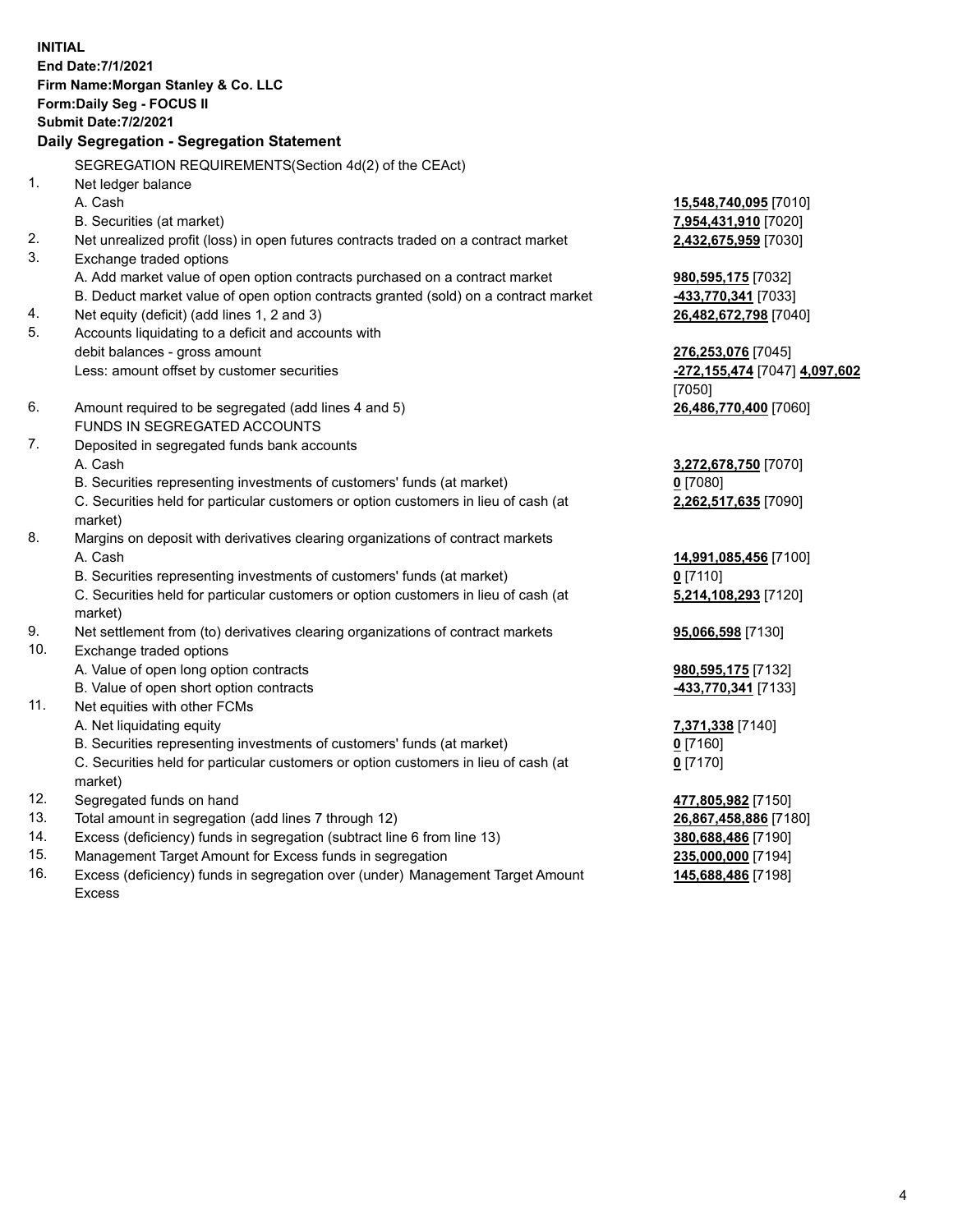**INITIAL End Date:7/1/2021 Firm Name:Morgan Stanley & Co. LLC Form:Daily Seg - FOCUS II Submit Date:7/2/2021 Daily Segregation - Segregation Statement** SEGREGATION REQUIREMENTS(Section 4d(2) of the CEAct) 1. Net ledger balance A. Cash **15,548,740,095** [7010] B. Securities (at market) **7,954,431,910** [7020] 2. Net unrealized profit (loss) in open futures contracts traded on a contract market **2,432,675,959** [7030] 3. Exchange traded options A. Add market value of open option contracts purchased on a contract market **980,595,175** [7032] B. Deduct market value of open option contracts granted (sold) on a contract market **-433,770,341** [7033] 4. Net equity (deficit) (add lines 1, 2 and 3) **26,482,672,798** [7040] 5. Accounts liquidating to a deficit and accounts with debit balances - gross amount **276,253,076** [7045] Less: amount offset by customer securities **-272,155,474** [7047] **4,097,602** [7050] 6. Amount required to be segregated (add lines 4 and 5) **26,486,770,400** [7060] FUNDS IN SEGREGATED ACCOUNTS 7. Deposited in segregated funds bank accounts A. Cash **3,272,678,750** [7070] B. Securities representing investments of customers' funds (at market) **0** [7080] C. Securities held for particular customers or option customers in lieu of cash (at market) **2,262,517,635** [7090] 8. Margins on deposit with derivatives clearing organizations of contract markets A. Cash **14,991,085,456** [7100] B. Securities representing investments of customers' funds (at market) **0** [7110] C. Securities held for particular customers or option customers in lieu of cash (at market) **5,214,108,293** [7120] 9. Net settlement from (to) derivatives clearing organizations of contract markets **95,066,598** [7130] 10. Exchange traded options A. Value of open long option contracts **980,595,175** [7132] B. Value of open short option contracts **-433,770,341** [7133] 11. Net equities with other FCMs A. Net liquidating equity **7,371,338** [7140] B. Securities representing investments of customers' funds (at market) **0** [7160] C. Securities held for particular customers or option customers in lieu of cash (at market) **0** [7170] 12. Segregated funds on hand **477,805,982** [7150] 13. Total amount in segregation (add lines 7 through 12) **26,867,458,886** [7180] 14. Excess (deficiency) funds in segregation (subtract line 6 from line 13) **380,688,486** [7190] 15. Management Target Amount for Excess funds in segregation **235,000,000** [7194]

16. Excess (deficiency) funds in segregation over (under) Management Target Amount Excess

**145,688,486** [7198]